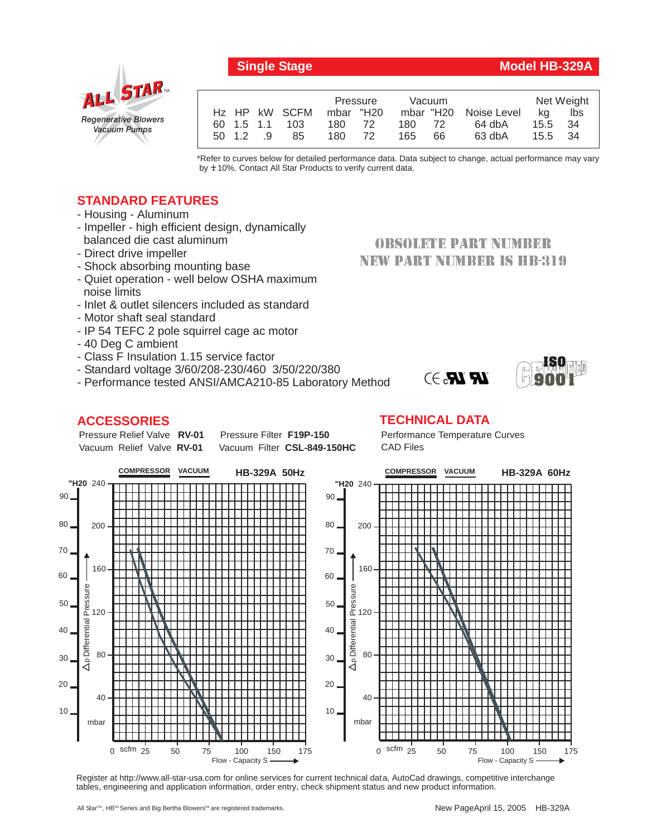## *Regenerative Blowers Vacuum Pumps* ALL STAR

|  |          |                           | Pressure  |  | Vacuum |    |                       | Net Weight |     |
|--|----------|---------------------------|-----------|--|--------|----|-----------------------|------------|-----|
|  |          | H <sub>z</sub> HP kW SCFM | mbar "H20 |  |        |    | mbar "H20 Noise Level | ka         | lbs |
|  |          | 60 1.5 1.1 103            | 180 72    |  | 180 72 |    | 64 dbA                | 15.5 34    |     |
|  | 50 1.2 9 | 85                        | 180 72    |  | 165    | 66 | 63 dbA                | 15.5 34    |     |
|  |          |                           |           |  |        |    |                       |            |     |

\*Refer to curves below for detailed performance data. Data subject to change, actual performance may vary by  $±10%$ . Contact All Star Products to verify current data.

## **STANDARD FEATURES**

- Housing Aluminum
- Impeller high efficient design, dynamically balanced die cast aluminum
- Direct drive impeller
- Shock absorbing mounting base
- Quiet operation well below OSHA maximum noise limits
- Inlet & outlet silencers included as standard
- Motor shaft seal standard
- IP 54 TEFC 2 pole squirrel cage ac motor
- 40 Deg C ambient
- Class F Insulation 1.15 service factor
- Standard voltage 3/60/208-230/460 3/50/220/380
- Performance tested ANSI/AMCA210-85 Laboratory Method

### **ACCESSORIES**

#### Pressure Relief Valve RV-01 Vacuum Relief Valve RV-01

**Pressure Filter F19P-150** Vacuum Filter CSL-849-150HC

# **NEW PART NUMBER IS HB-319**

**OBSOLETE PART NUMBER** 





Register at http://www.all-star-usa.com for online services for current technical data, AutoCad drawings, competitive interchange tables, engineering and application information, order entry, check shipment status and new product information.